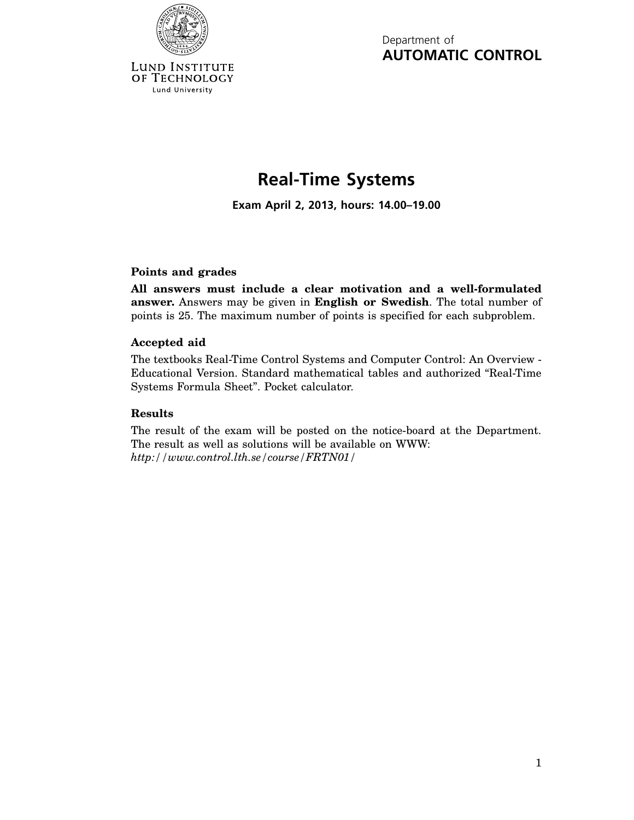

Lund University

Department of **AUTOMATIC CONTROL**

## **Real-Time Systems**

**Exam April 2, 2013, hours: 14.00–19.00**

## **Points and grades**

**All answers must include a clear motivation and a well-formulated answer.** Answers may be given in **English or Swedish**. The total number of points is 25. The maximum number of points is specified for each subproblem.

## **Accepted aid**

The textbooks Real-Time Control Systems and Computer Control: An Overview - Educational Version. Standard mathematical tables and authorized "Real-Time Systems Formula Sheet". Pocket calculator.

## **Results**

The result of the exam will be posted on the notice-board at the Department. The result as well as solutions will be available on WWW: *http://www.control.lth.se/course/FRTN01/*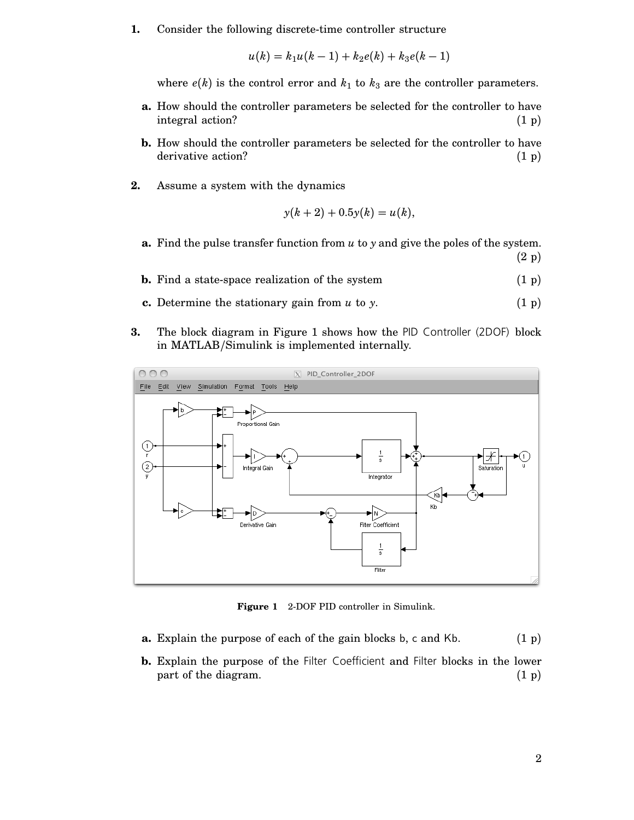**1.** Consider the following discrete-time controller structure

$$
u(k) = k_1 u(k-1) + k_2 e(k) + k_3 e(k-1)
$$

where  $e(k)$  is the control error and  $k_1$  to  $k_3$  are the controller parameters.

- **a.** How should the controller parameters be selected for the controller to have integral action? (1 p)
- **b.** How should the controller parameters be selected for the controller to have derivative action? (1 p)
- **2.** Assume a system with the dynamics

$$
y(k+2) + 0.5y(k) = u(k),
$$

- **a.** Find the pulse transfer function from *u* to *y* and give the poles of the system. (2 p)
- **b.** Find a state-space realization of the system  $(1 \text{ p})$
- **c.** Determine the stationary gain from  $u$  to  $y$ .  $(1 \text{ p})$
- **3.** The block diagram in Figure 1 shows how the PID Controller (2DOF) block in MATLAB/Simulink is implemented internally.



**Figure 1** 2-DOF PID controller in Simulink.

- **a.** Explain the purpose of each of the gain blocks b, c and Kb. (1 p)
- **b.** Explain the purpose of the Filter Coefficient and Filter blocks in the lower part of the diagram.  $(1 \text{ p})$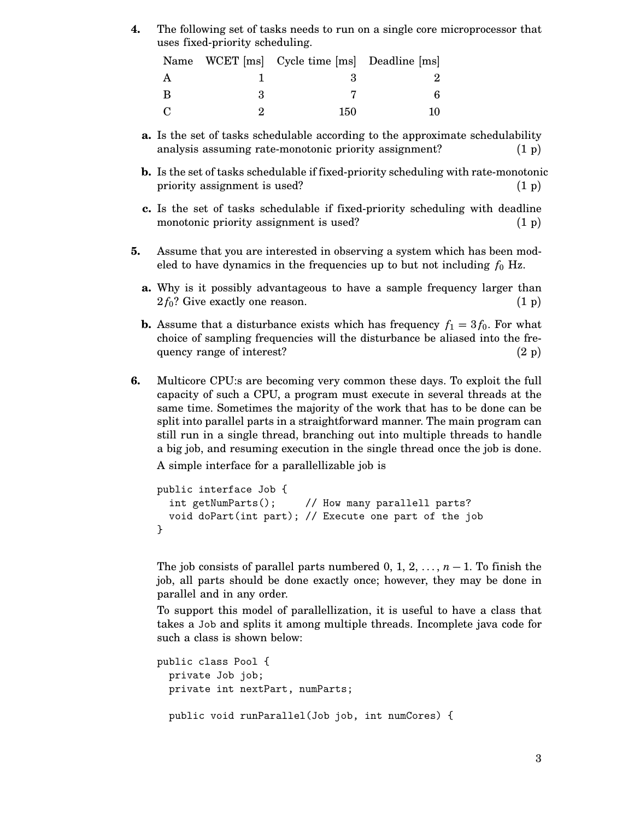**4.** The following set of tasks needs to run on a single core microprocessor that uses fixed-priority scheduling.

|               | Name WCET [ms] Cycle time [ms] Deadline [ms] |  |
|---------------|----------------------------------------------|--|
|               |                                              |  |
| B             |                                              |  |
| $\mathcal{C}$ | 150                                          |  |

- **a.** Is the set of tasks schedulable according to the approximate schedulability analysis assuming rate-monotonic priority assignment? (1 p)
- **b.** Is the set of tasks schedulable if fixed-priority scheduling with rate-monotonic priority assignment is used? (1 p)
- **c.** Is the set of tasks schedulable if fixed-priority scheduling with deadline monotonic priority assignment is used?  $(1\text{ p})$
- **5.** Assume that you are interested in observing a system which has been modeled to have dynamics in the frequencies up to but not including  $f_0$  Hz.
	- **a.** Why is it possibly advantageous to have a sample frequency larger than  $2f_0$ ? Give exactly one reason. (1 p)
	- **b.** Assume that a disturbance exists which has frequency  $f_1 = 3 f_0$ . For what choice of sampling frequencies will the disturbance be aliased into the frequency range of interest?  $(2 p)$
- **6.** Multicore CPU:s are becoming very common these days. To exploit the full capacity of such a CPU, a program must execute in several threads at the same time. Sometimes the majority of the work that has to be done can be split into parallel parts in a straightforward manner. The main program can still run in a single thread, branching out into multiple threads to handle a big job, and resuming execution in the single thread once the job is done.

A simple interface for a parallellizable job is

```
public interface Job {
  int getNumParts(); // How many parallell parts?
  void doPart(int part); // Execute one part of the job
}
```
The job consists of parallel parts numbered 0, 1, 2,  $\dots$ , *n* − 1. To finish the job, all parts should be done exactly once; however, they may be done in parallel and in any order.

To support this model of parallellization, it is useful to have a class that takes a Job and splits it among multiple threads. Incomplete java code for such a class is shown below:

```
public class Pool {
  private Job job;
  private int nextPart, numParts;
  public void runParallel(Job job, int numCores) {
```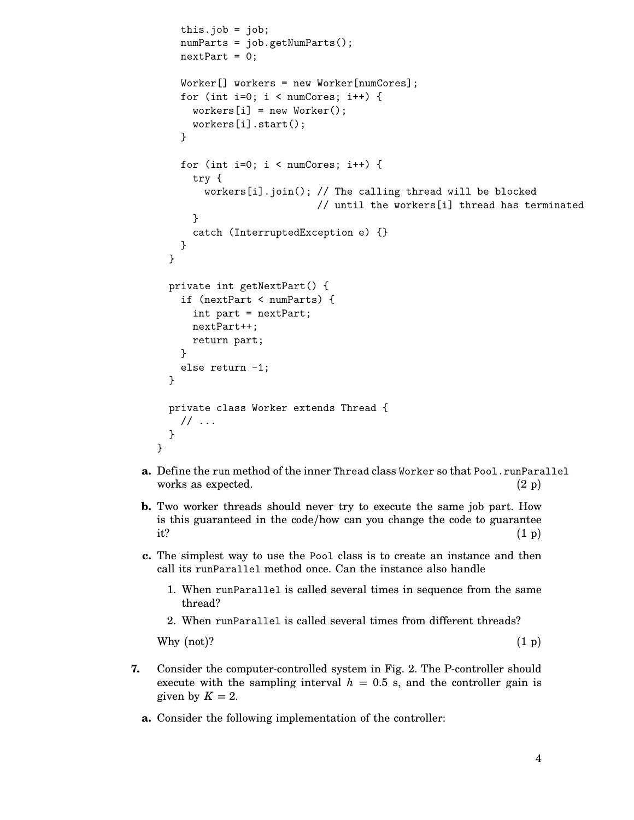```
this.job = job;
  numParts = job.getNumParts();
  nextPart = 0;Worker[] workers = new Worker[numCores];
  for (int i=0; i < numCross; i++) {
    workers[i] = new Worker();workers[i].start();
  }
  for (int i=0; i < numCores; i++) {
    try {
      workers[i].join(); // The calling thread will be blocked
                         // until the workers[i] thread has terminated
    }
    catch (InterruptedException e) {}
  }
}
private int getNextPart() {
  if (nextPart < numParts) {
    int part = nextPart;
    nextPart++;
    return part;
  }
  else return -1;
}
private class Worker extends Thread {
  // ...
}
```
- **a.** Define the run method of the inner Thread class Worker so that Pool.runParallel works as expected.  $(2 p)$
- **b.** Two worker threads should never try to execute the same job part. How is this guaranteed in the code/how can you change the code to guarantee it?  $(1\,\mathrm{p})$
- **c.** The simplest way to use the Pool class is to create an instance and then call its runParallel method once. Can the instance also handle
	- 1. When runParallel is called several times in sequence from the same thread?
	- 2. When runParallel is called several times from different threads?

Why  $(1 p)$  (1)?

}

- **7.** Consider the computer-controlled system in Fig. 2. The P-controller should execute with the sampling interval  $h = 0.5$  s, and the controller gain is given by  $K = 2$ .
	- **a.** Consider the following implementation of the controller: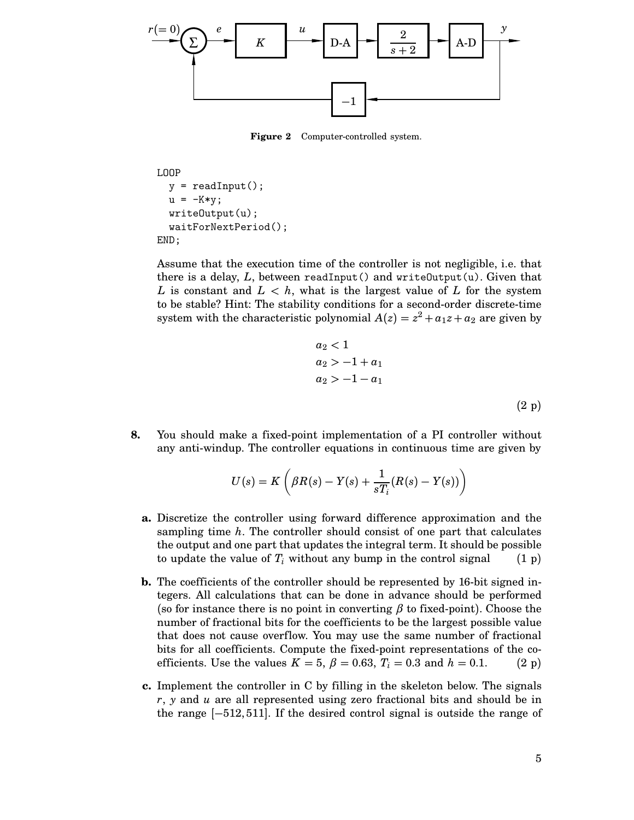

**Figure 2** Computer-controlled system.

```
LOOP
  y = readInput();
  u = -K*y;writeOutput(u);
  waitForNextPeriod();
END;
```
Assume that the execution time of the controller is not negligible, i.e. that there is a delay, *L*, between readInput() and writeOutput(u). Given that *L* is constant and  $L < h$ , what is the largest value of *L* for the system to be stable? Hint: The stability conditions for a second-order discrete-time system with the characteristic polynomial  $A(z) = z^2 + a_1z + a_2$  are given by

$$
a_2 < 1
$$
  
\n
$$
a_2 > -1 + a_1
$$
  
\n
$$
a_2 > -1 - a_1
$$
  
\n(2 p)

**8.** You should make a fixed-point implementation of a PI controller without any anti-windup. The controller equations in continuous time are given by

$$
U(s) = K\left(\beta R(s) - Y(s) + \frac{1}{sT_i}(R(s) - Y(s))\right)
$$

- **a.** Discretize the controller using forward difference approximation and the sampling time *h*. The controller should consist of one part that calculates the output and one part that updates the integral term. It should be possible to update the value of  $T_i$  without any bump in the control signal (1 p)
- **b.** The coefficients of the controller should be represented by 16-bit signed integers. All calculations that can be done in advance should be performed (so for instance there is no point in converting  $\beta$  to fixed-point). Choose the number of fractional bits for the coefficients to be the largest possible value that does not cause overflow. You may use the same number of fractional bits for all coefficients. Compute the fixed-point representations of the coefficients. Use the values  $K = 5$ ,  $\beta = 0.63$ ,  $T_i = 0.3$  and  $h = 0.1$ . (2 p)
- **c.** Implement the controller in C by filling in the skeleton below. The signals *r*, *y* and *u* are all represented using zero fractional bits and should be in the range [−512, 511]. If the desired control signal is outside the range of